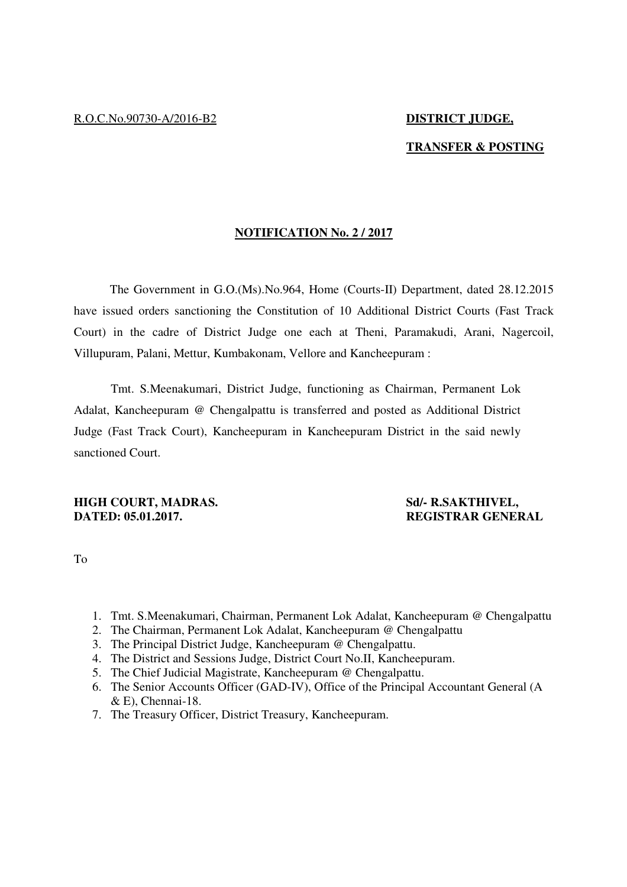# **TRANSFER & POSTING**

## **NOTIFICATION No. 2 / 2017**

The Government in G.O.(Ms).No.964, Home (Courts-II) Department, dated 28.12.2015 have issued orders sanctioning the Constitution of 10 Additional District Courts (Fast Track Court) in the cadre of District Judge one each at Theni, Paramakudi, Arani, Nagercoil, Villupuram, Palani, Mettur, Kumbakonam, Vellore and Kancheepuram :

 Tmt. S.Meenakumari, District Judge, functioning as Chairman, Permanent Lok Adalat, Kancheepuram @ Chengalpattu is transferred and posted as Additional District Judge (Fast Track Court), Kancheepuram in Kancheepuram District in the said newly sanctioned Court.

## **HIGH COURT, MADRAS.** Sd/- R.SAKTHIVEL, **DATED: 05.01.2017. REGISTRAR GENERAL**

To

- 1. Tmt. S.Meenakumari, Chairman, Permanent Lok Adalat, Kancheepuram @ Chengalpattu
- 2. The Chairman, Permanent Lok Adalat, Kancheepuram @ Chengalpattu
- 3. The Principal District Judge, Kancheepuram @ Chengalpattu.
- 4. The District and Sessions Judge, District Court No.II, Kancheepuram.
- 5. The Chief Judicial Magistrate, Kancheepuram @ Chengalpattu.
- 6. The Senior Accounts Officer (GAD-IV), Office of the Principal Accountant General (A & E), Chennai-18.
- 7. The Treasury Officer, District Treasury, Kancheepuram.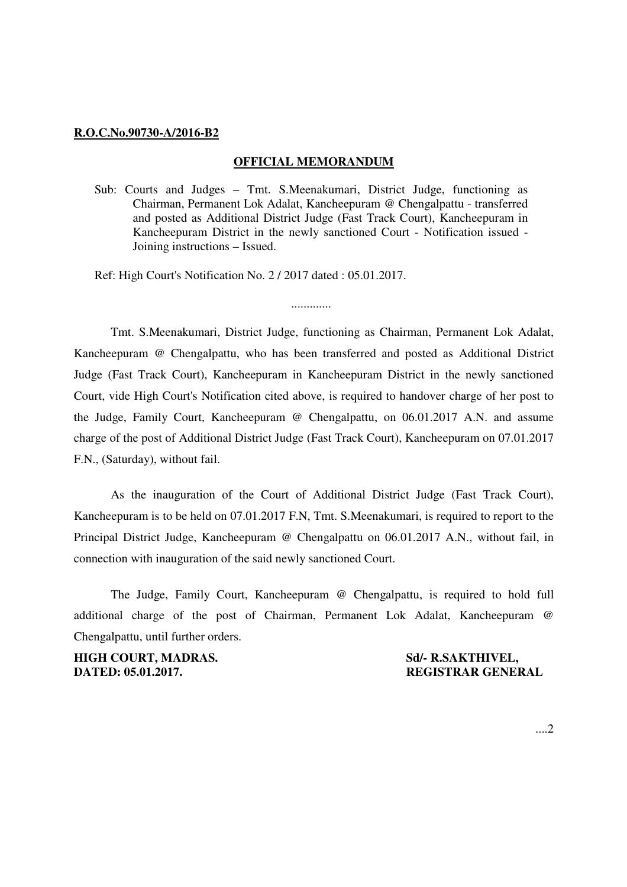### **R.O.C.No.90730-A/2016-B2**

## **OFFICIAL MEMORANDUM**

Sub: Courts and Judges – Tmt. S.Meenakumari, District Judge, functioning as Chairman, Permanent Lok Adalat, Kancheepuram @ Chengalpattu - transferred and posted as Additional District Judge (Fast Track Court), Kancheepuram in Kancheepuram District in the newly sanctioned Court - Notification issued - Joining instructions – Issued.

.............

Ref: High Court's Notification No. 2 / 2017 dated : 05.01.2017.

Tmt. S.Meenakumari, District Judge, functioning as Chairman, Permanent Lok Adalat, Kancheepuram @ Chengalpattu, who has been transferred and posted as Additional District Judge (Fast Track Court), Kancheepuram in Kancheepuram District in the newly sanctioned Court, vide High Court's Notification cited above, is required to handover charge of her post to the Judge, Family Court, Kancheepuram @ Chengalpattu, on 06.01.2017 A.N. and assume charge of the post of Additional District Judge (Fast Track Court), Kancheepuram on 07.01.2017 F.N., (Saturday), without fail.

As the inauguration of the Court of Additional District Judge (Fast Track Court), Kancheepuram is to be held on 07.01.2017 F.N, Tmt. S.Meenakumari, is required to report to the Principal District Judge, Kancheepuram @ Chengalpattu on 06.01.2017 A.N., without fail, in connection with inauguration of the said newly sanctioned Court.

The Judge, Family Court, Kancheepuram @ Chengalpattu, is required to hold full additional charge of the post of Chairman, Permanent Lok Adalat, Kancheepuram @ Chengalpattu, until further orders.

**HIGH COURT, MADRAS.** Sd/- R.SAKTHIVEL, **DATED: 05.01.2017. REGISTRAR GENERAL**